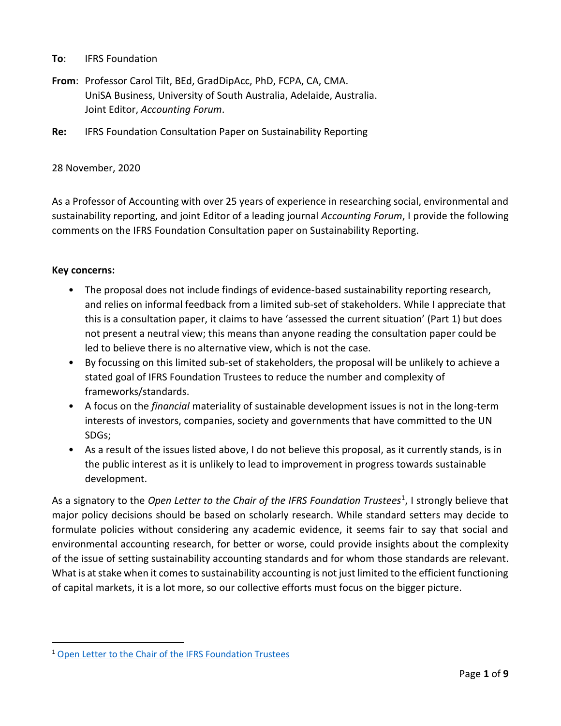- **To**: IFRS Foundation
- **From**: Professor Carol Tilt, BEd, GradDipAcc, PhD, FCPA, CA, CMA. UniSA Business, University of South Australia, Adelaide, Australia. Joint Editor, *Accounting Forum*.
- **Re:** IFRS Foundation Consultation Paper on Sustainability Reporting

### 28 November, 2020

As a Professor of Accounting with over 25 years of experience in researching social, environmental and sustainability reporting, and joint Editor of a leading journal *Accounting Forum*, I provide the following comments on the IFRS Foundation Consultation paper on Sustainability Reporting.

### **Key concerns:**

- The proposal does not include findings of evidence-based sustainability reporting research, and relies on informal feedback from a limited sub-set of stakeholders. While I appreciate that this is a consultation paper, it claims to have 'assessed the current situation' (Part 1) but does not present a neutral view; this means than anyone reading the consultation paper could be led to believe there is no alternative view, which is not the case.
- By focussing on this limited sub-set of stakeholders, the proposal will be unlikely to achieve a stated goal of IFRS Foundation Trustees to reduce the number and complexity of frameworks/standards.
- A focus on the *financial* materiality of sustainable development issues is not in the long-term interests of investors, companies, society and governments that have committed to the UN SDGs;
- As a result of the issues listed above, I do not believe this proposal, as it currently stands, is in the public interest as it is unlikely to lead to improvement in progress towards sustainable development.

As a signatory to the *Open Letter to the Chair of the IFRS Foundation Trustees<sup>1</sup>, I strongly believe that* major policy decisions should be based on scholarly research. While standard setters may decide to formulate policies without considering any academic evidence, it seems fair to say that social and environmental accounting research, for better or worse, could provide insights about the complexity of the issue of setting sustainability accounting standards and for whom those standards are relevant. What is at stake when it comes to sustainability accounting is not just limited to the efficient functioning of capital markets, it is a lot more, so our collective efforts must focus on the bigger picture.

<sup>&</sup>lt;sup>1</sup> [Open Letter to the Chair of the IFRS Foundation Trustees](https://drcaroladams.net/open-letter-to-the-chair-of-the-ifrs-foundation-trustees-from-professors-of-accounting/)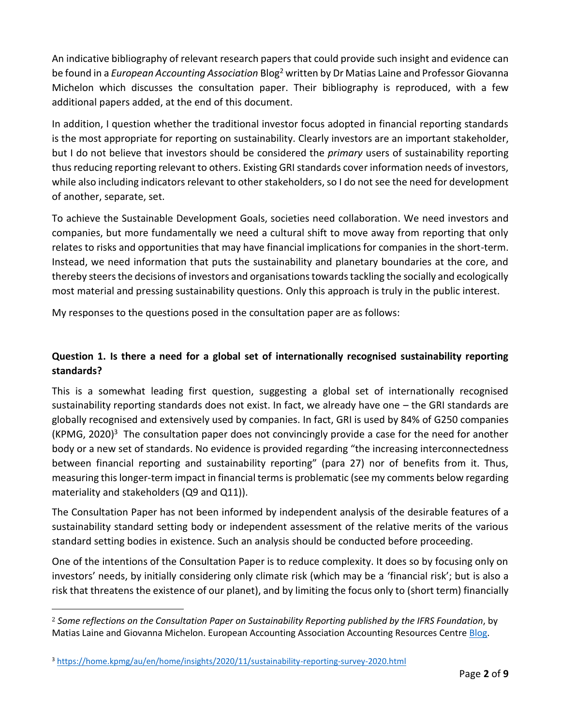An indicative bibliography of relevant research papers that could provide such insight and evidence can be found in a *European Accounting Association* Blog<sup>2</sup> written by Dr Matias Laine and Professor Giovanna Michelon which discusses the consultation paper. Their bibliography is reproduced, with a few additional papers added, at the end of this document.

In addition, I question whether the traditional investor focus adopted in financial reporting standards is the most appropriate for reporting on sustainability. Clearly investors are an important stakeholder, but I do not believe that investors should be considered the *primary* users of sustainability reporting thus reducing reporting relevant to others. Existing GRI standards cover information needs of investors, while also including indicators relevant to other stakeholders, so I do not see the need for development of another, separate, set.

To achieve the Sustainable Development Goals, societies need collaboration. We need investors and companies, but more fundamentally we need a cultural shift to move away from reporting that only relates to risks and opportunities that may have financial implications for companies in the short-term. Instead, we need information that puts the sustainability and planetary boundaries at the core, and thereby steers the decisions of investors and organisations towards tackling the socially and ecologically most material and pressing sustainability questions. Only this approach is truly in the public interest.

My responses to the questions posed in the consultation paper are as follows:

## **Question 1. Is there a need for a global set of internationally recognised sustainability reporting standards?**

This is a somewhat leading first question, suggesting a global set of internationally recognised sustainability reporting standards does not exist. In fact, we already have one – the GRI standards are globally recognised and extensively used by companies. In fact, GRI is used by 84% of G250 companies (KPMG, 2020)<sup>3</sup> The consultation paper does not convincingly provide a case for the need for another body or a new set of standards. No evidence is provided regarding "the increasing interconnectedness between financial reporting and sustainability reporting" (para 27) nor of benefits from it. Thus, measuring this longer-term impact in financial terms is problematic (see my comments below regarding materiality and stakeholders (Q9 and Q11)).

The Consultation Paper has not been informed by independent analysis of the desirable features of a sustainability standard setting body or independent assessment of the relative merits of the various standard setting bodies in existence. Such an analysis should be conducted before proceeding.

One of the intentions of the Consultation Paper is to reduce complexity. It does so by focusing only on investors' needs, by initially considering only climate risk (which may be a 'financial risk'; but is also a risk that threatens the existence of our planet), and by limiting the focus only to (short term) financially

<sup>2</sup> *Some reflections on the Consultation Paper on Sustainability Reporting published by the IFRS Foundation*, by Matias Laine and Giovanna Michelon. European Accounting Association Accounting Resources Centre [Blog.](https://arc.eaa-online.org/blog/some-reflections-consultation-paper-sustainability-reporting-published-ifrs-foundation)

<sup>3</sup> <https://home.kpmg/au/en/home/insights/2020/11/sustainability-reporting-survey-2020.html>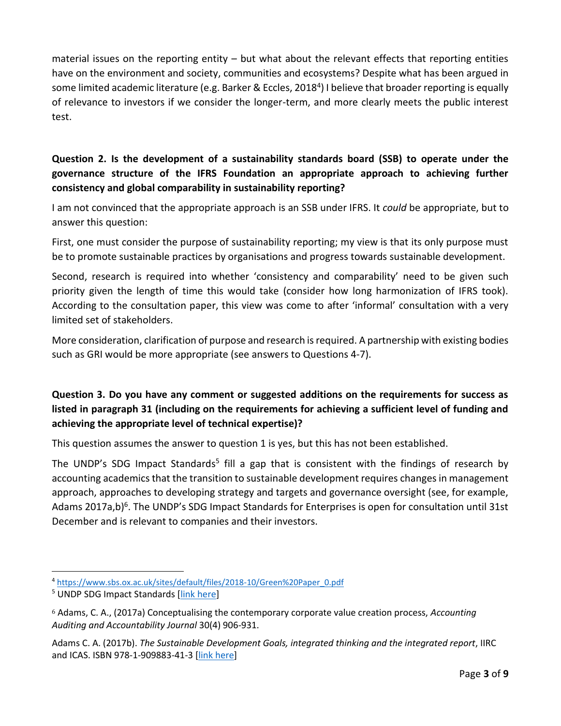material issues on the reporting entity – but what about the relevant effects that reporting entities have on the environment and society, communities and ecosystems? Despite what has been argued in some limited academic literature (e.g. Barker & Eccles, 2018<sup>4</sup>) I believe that broader reporting is equally of relevance to investors if we consider the longer-term, and more clearly meets the public interest test.

# **Question 2. Is the development of a sustainability standards board (SSB) to operate under the governance structure of the IFRS Foundation an appropriate approach to achieving further consistency and global comparability in sustainability reporting?**

I am not convinced that the appropriate approach is an SSB under IFRS. It *could* be appropriate, but to answer this question:

First, one must consider the purpose of sustainability reporting; my view is that its only purpose must be to promote sustainable practices by organisations and progress towards sustainable development.

Second, research is required into whether 'consistency and comparability' need to be given such priority given the length of time this would take (consider how long harmonization of IFRS took). According to the consultation paper, this view was come to after 'informal' consultation with a very limited set of stakeholders.

More consideration, clarification of purpose and research is required. A partnership with existing bodies such as GRI would be more appropriate (see answers to Questions 4-7).

# **Question 3. Do you have any comment or suggested additions on the requirements for success as listed in paragraph 31 (including on the requirements for achieving a sufficient level of funding and achieving the appropriate level of technical expertise)?**

This question assumes the answer to question 1 is yes, but this has not been established.

The UNDP's SDG Impact Standards<sup>5</sup> fill a gap that is consistent with the findings of research by accounting academics that the transition to sustainable development requires changes in management approach, approaches to developing strategy and targets and governance oversight (see, for example, Adams 2017a,b)<sup>6</sup>. The UNDP's SDG Impact Standards for Enterprises is open for consultation until 31st December and is relevant to companies and their investors.

<sup>4</sup> [https://www.sbs.ox.ac.uk/sites/default/files/2018-10/Green%20Paper\\_0.pdf](https://www.sbs.ox.ac.uk/sites/default/files/2018-10/Green%20Paper_0.pdf)

<sup>&</sup>lt;sup>5</sup> UNDP SDG Impact Standards [\[link](https://sdgimpact.undp.org/practice-standards.html) here]

<sup>6</sup> Adams, C. A., (2017a) Conceptualising the contemporary corporate value creation process, *Accounting Auditing and Accountability Journal* 30(4) 906-931.

Adams C. A. (2017b). *The Sustainable Development Goals, integrated thinking and the integrated report*, IIRC and ICAS. ISBN 978-1-909883-41-3 [\[link](https://www.icas.com/__data/assets/pdf_file/0010/336475/SDGs-and-the-integrated-report_full17.pdf) here]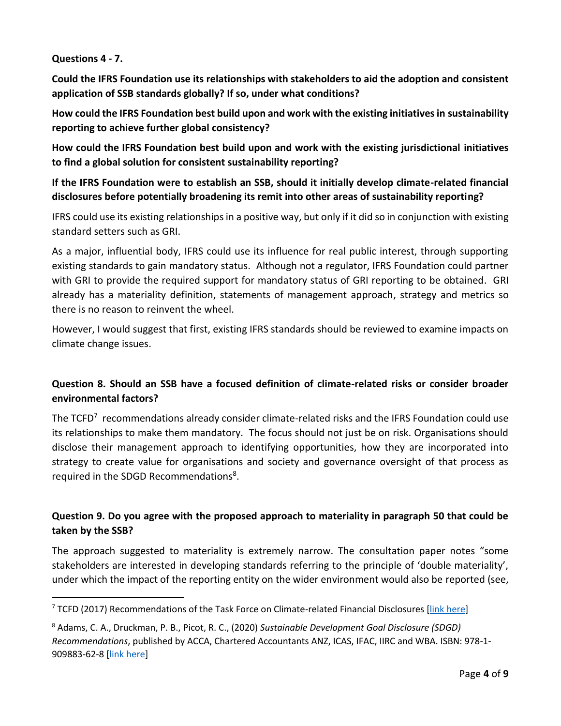### **Questions 4 - 7.**

**Could the IFRS Foundation use its relationships with stakeholders to aid the adoption and consistent application of SSB standards globally? If so, under what conditions?**

**How could the IFRS Foundation best build upon and work with the existing initiatives in sustainability reporting to achieve further global consistency?**

**How could the IFRS Foundation best build upon and work with the existing jurisdictional initiatives to find a global solution for consistent sustainability reporting?**

**If the IFRS Foundation were to establish an SSB, should it initially develop climate-related financial disclosures before potentially broadening its remit into other areas of sustainability reporting?**

IFRS could use its existing relationships in a positive way, but only if it did so in conjunction with existing standard setters such as GRI.

As a major, influential body, IFRS could use its influence for real public interest, through supporting existing standards to gain mandatory status. Although not a regulator, IFRS Foundation could partner with GRI to provide the required support for mandatory status of GRI reporting to be obtained. GRI already has a materiality definition, statements of management approach, strategy and metrics so there is no reason to reinvent the wheel.

However, I would suggest that first, existing IFRS standards should be reviewed to examine impacts on climate change issues.

# **Question 8. Should an SSB have a focused definition of climate-related risks or consider broader environmental factors?**

The TCFD<sup>7</sup> recommendations already consider climate-related risks and the IFRS Foundation could use its relationships to make them mandatory. The focus should not just be on risk. Organisations should disclose their management approach to identifying opportunities, how they are incorporated into strategy to create value for organisations and society and governance oversight of that process as required in the SDGD Recommendations<sup>8</sup>.

## **Question 9. Do you agree with the proposed approach to materiality in paragraph 50 that could be taken by the SSB?**

The approach suggested to materiality is extremely narrow. The consultation paper notes "some stakeholders are interested in developing standards referring to the principle of 'double materiality', under which the impact of the reporting entity on the wider environment would also be reported (see,

<sup>&</sup>lt;sup>7</sup> TCFD (2017) Recommendations of the Task Force on Climate-related Financial Disclosures [\[link](https://assets.bbhub.io/company/sites/60/2020/10/FINAL-2017-TCFD-Report-11052018.pdf) here]

<sup>8</sup> Adams, C. A., Druckman, P. B., Picot, R. C., (2020) *Sustainable Development Goal Disclosure (SDGD) Recommendations*, published by ACCA, Chartered Accountants ANZ, ICAS, IFAC, IIRC and WBA. ISBN: 978-1- 909883-62-8 [\[link](https://www.icas.com/__data/assets/pdf_file/0006/531708/adams-2020-feedback-on-sdgd-consultation.pdf) here]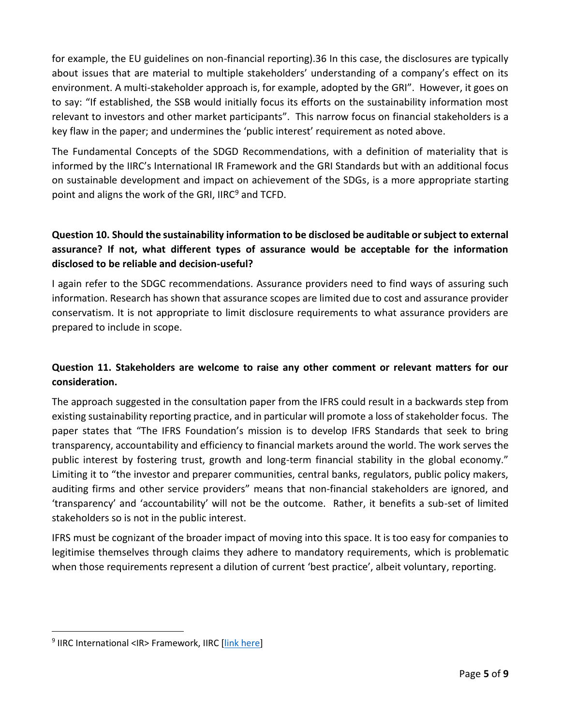for example, the EU guidelines on non-financial reporting).36 In this case, the disclosures are typically about issues that are material to multiple stakeholders' understanding of a company's effect on its environment. A multi-stakeholder approach is, for example, adopted by the GRI". However, it goes on to say: "If established, the SSB would initially focus its efforts on the sustainability information most relevant to investors and other market participants". This narrow focus on financial stakeholders is a key flaw in the paper; and undermines the 'public interest' requirement as noted above.

The Fundamental Concepts of the SDGD Recommendations, with a definition of materiality that is informed by the IIRC's International IR Framework and the GRI Standards but with an additional focus on sustainable development and impact on achievement of the SDGs, is a more appropriate starting point and aligns the work of the GRI, IIRC<sup>9</sup> and TCFD.

# **Question 10. Should the sustainability information to be disclosed be auditable or subject to external assurance? If not, what different types of assurance would be acceptable for the information disclosed to be reliable and decision-useful?**

I again refer to the SDGC recommendations. Assurance providers need to find ways of assuring such information. Research has shown that assurance scopes are limited due to cost and assurance provider conservatism. It is not appropriate to limit disclosure requirements to what assurance providers are prepared to include in scope.

## **Question 11. Stakeholders are welcome to raise any other comment or relevant matters for our consideration.**

The approach suggested in the consultation paper from the IFRS could result in a backwards step from existing sustainability reporting practice, and in particular will promote a loss of stakeholder focus. The paper states that "The IFRS Foundation's mission is to develop IFRS Standards that seek to bring transparency, accountability and efficiency to financial markets around the world. The work serves the public interest by fostering trust, growth and long-term financial stability in the global economy." Limiting it to "the investor and preparer communities, central banks, regulators, public policy makers, auditing firms and other service providers" means that non-financial stakeholders are ignored, and 'transparency' and 'accountability' will not be the outcome. Rather, it benefits a sub-set of limited stakeholders so is not in the public interest.

IFRS must be cognizant of the broader impact of moving into this space. It is too easy for companies to legitimise themselves through claims they adhere to mandatory requirements, which is problematic when those requirements represent a dilution of current 'best practice', albeit voluntary, reporting.

<sup>&</sup>lt;sup>9</sup> IIRC International <IR> Framework, IIRC [<u>link here</u>]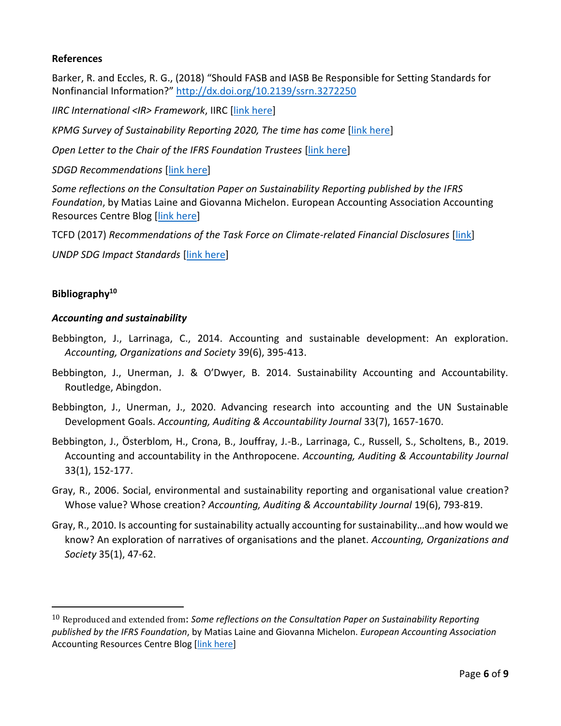### **References**

Barker, R. and Eccles, R. G., (2018) "Should FASB and IASB Be Responsible for Setting Standards for Nonfinancial Information?" <http://dx.doi.org/10.2139/ssrn.3272250>

*IIRC International <IR> Framework*, IIRC [\[link](https://integratedreporting.org/wp-content/uploads/2013/12/13-12-08-THE-INTERNATIONAL-IR-FRAMEWORK-2-1.pdf) here]

*KPMG Survey of Sustainability Reporting 2020, The time has come [\[link here\]](https://home.kpmg/au/en/home/insights/2020/11/sustainability-reporting-survey-2020.html)* 

*Open Letter to the Chair of the IFRS Foundation Trustees* [\[link](https://drcaroladams.net/open-letter-to-the-chair-of-the-ifrs-foundation-trustees-from-professors-of-accounting/) here]

**SDGD Recommendations [\[link](https://www.ifac.org/knowledge-gateway/contributing-global-economy/publications/sustainable-development-goals-disclosure-sdgd-recommendations#:~:text=The%20SDGD%20Recommendations%20call%20on,on%20achievement%20of%20the%20SDGs.) here]** 

*Some reflections on the Consultation Paper on Sustainability Reporting published by the IFRS Foundation*, by Matias Laine and Giovanna Michelon. European Accounting Association Accounting Resources Centre Blog [\[link](https://arc.eaa-online.org/blog/some-reflections-consultation-paper-sustainability-reporting-published-ifrs-foundation) here]

TCFD (2017) *Recommendations of the Task Force on Climate-related Financial Disclosures* [\[link\]](https://assets.bbhub.io/company/sites/60/2020/10/FINAL-2017-TCFD-Report-11052018.pdf)

*UNDP SDG Impact Standards* [\[link](https://sdgimpact.undp.org/practice-standards.html) here]

### **Bibliography<sup>10</sup>**

#### *Accounting and sustainability*

- Bebbington, J., Larrinaga, C., 2014. Accounting and sustainable development: An exploration. *Accounting, Organizations and Society* 39(6), 395-413.
- Bebbington, J., Unerman, J. & O'Dwyer, B. 2014. Sustainability Accounting and Accountability. Routledge, Abingdon.
- Bebbington, J., Unerman, J., 2020. Advancing research into accounting and the UN Sustainable Development Goals. *Accounting, Auditing & Accountability Journal* 33(7), 1657-1670.
- Bebbington, J., Österblom, H., Crona, B., Jouffray, J.-B., Larrinaga, C., Russell, S., Scholtens, B., 2019. Accounting and accountability in the Anthropocene. *Accounting, Auditing & Accountability Journal* 33(1), 152-177.
- Gray, R., 2006. Social, environmental and sustainability reporting and organisational value creation? Whose value? Whose creation? *Accounting, Auditing & Accountability Journal* 19(6), 793-819.
- Gray, R., 2010. Is accounting for sustainability actually accounting for sustainability…and how would we know? An exploration of narratives of organisations and the planet. *Accounting, Organizations and Society* 35(1), 47-62.

<sup>10</sup> Reproduced and extended from: *Some reflections on the Consultation Paper on Sustainability Reporting published by the IFRS Foundation*, by Matias Laine and Giovanna Michelon. *European Accounting Association* Accounting Resources Centre Blog [\[link](https://arc.eaa-online.org/blog/some-reflections-consultation-paper-sustainability-reporting-published-ifrs-foundation) here]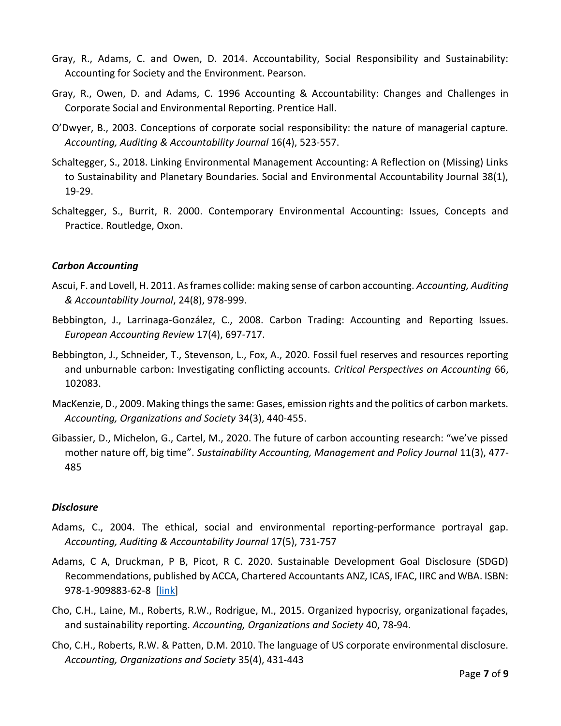- Gray, R., Adams, C. and Owen, D. 2014. Accountability, Social Responsibility and Sustainability: Accounting for Society and the Environment. Pearson.
- Gray, R., Owen, D. and Adams, C. 1996 Accounting & Accountability: Changes and Challenges in Corporate Social and Environmental Reporting. Prentice Hall.
- O'Dwyer, B., 2003. Conceptions of corporate social responsibility: the nature of managerial capture. *Accounting, Auditing & Accountability Journal* 16(4), 523-557.
- Schaltegger, S., 2018. Linking Environmental Management Accounting: A Reflection on (Missing) Links to Sustainability and Planetary Boundaries. Social and Environmental Accountability Journal 38(1), 19-29.
- Schaltegger, S., Burrit, R. 2000. Contemporary Environmental Accounting: Issues, Concepts and Practice. Routledge, Oxon.

### *Carbon Accounting*

- Ascui, F. and Lovell, H. 2011. As frames collide: making sense of carbon accounting. *Accounting, Auditing & Accountability Journal*, 24(8), 978-999.
- Bebbington, J., Larrinaga-González, C., 2008. Carbon Trading: Accounting and Reporting Issues. *European Accounting Review* 17(4), 697-717.
- Bebbington, J., Schneider, T., Stevenson, L., Fox, A., 2020. Fossil fuel reserves and resources reporting and unburnable carbon: Investigating conflicting accounts. *Critical Perspectives on Accounting* 66, 102083.
- MacKenzie, D., 2009. Making things the same: Gases, emission rights and the politics of carbon markets. *Accounting, Organizations and Society* 34(3), 440-455.
- Gibassier, D., Michelon, G., Cartel, M., 2020. The future of carbon accounting research: "we've pissed mother nature off, big time". *Sustainability Accounting, Management and Policy Journal* 11(3), 477- 485

### *Disclosure*

- Adams, C., 2004. The ethical, social and environmental reporting-performance portrayal gap. *Accounting, Auditing & Accountability Journal* 17(5), 731-757
- Adams, C A, Druckman, P B, Picot, R C. 2020. Sustainable Development Goal Disclosure (SDGD) Recommendations, published by ACCA, Chartered Accountants ANZ, ICAS, IFAC, IIRC and WBA. ISBN: 978-1-909883-62-8 [\[link\]](https://www.icas.com/__data/assets/pdf_file/0006/531708/adams-2020-feedback-on-sdgd-consultation.pdf)
- Cho, C.H., Laine, M., Roberts, R.W., Rodrigue, M., 2015. Organized hypocrisy, organizational façades, and sustainability reporting. *Accounting, Organizations and Society* 40, 78-94.
- Cho, C.H., Roberts, R.W. & Patten, D.M. 2010. The language of US corporate environmental disclosure. *Accounting, Organizations and Society* 35(4), 431-443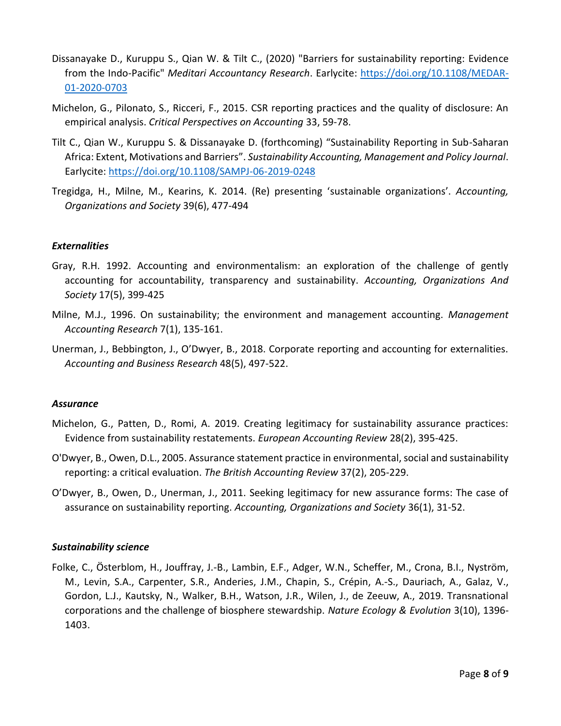- Dissanayake D., Kuruppu S., Qian W. & Tilt C., (2020) "Barriers for sustainability reporting: Evidence from the Indo-Pacific" *Meditari Accountancy Research*. Earlycite: [https://doi.org/10.1108/MEDAR-](https://doi.org/10.1108/MEDAR-01-2020-0703)[01-2020-0703](https://doi.org/10.1108/MEDAR-01-2020-0703)
- Michelon, G., Pilonato, S., Ricceri, F., 2015. CSR reporting practices and the quality of disclosure: An empirical analysis. *Critical Perspectives on Accounting* 33, 59-78.
- Tilt C., Qian W., Kuruppu S. & Dissanayake D. (forthcoming) "Sustainability Reporting in Sub-Saharan Africa: Extent, Motivations and Barriers". *Sustainability Accounting, Management and Policy Journal*. Earlycite:<https://doi.org/10.1108/SAMPJ-06-2019-0248>
- Tregidga, H., Milne, M., Kearins, K. 2014. (Re) presenting 'sustainable organizations'. *Accounting, Organizations and Society* 39(6), 477-494

### *Externalities*

- Gray, R.H. 1992. Accounting and environmentalism: an exploration of the challenge of gently accounting for accountability, transparency and sustainability. *Accounting, Organizations And Society* 17(5), 399-425
- Milne, M.J., 1996. On sustainability; the environment and management accounting. *Management Accounting Research* 7(1), 135-161.
- Unerman, J., Bebbington, J., O'Dwyer, B., 2018. Corporate reporting and accounting for externalities. *Accounting and Business Research* 48(5), 497-522.

#### *Assurance*

- Michelon, G., Patten, D., Romi, A. 2019. Creating legitimacy for sustainability assurance practices: Evidence from sustainability restatements. *European Accounting Review* 28(2), 395-425.
- O'Dwyer, B., Owen, D.L., 2005. Assurance statement practice in environmental, social and sustainability reporting: a critical evaluation. *The British Accounting Review* 37(2), 205-229.
- O'Dwyer, B., Owen, D., Unerman, J., 2011. Seeking legitimacy for new assurance forms: The case of assurance on sustainability reporting. *Accounting, Organizations and Society* 36(1), 31-52.

#### *Sustainability science*

Folke, C., Österblom, H., Jouffray, J.-B., Lambin, E.F., Adger, W.N., Scheffer, M., Crona, B.I., Nyström, M., Levin, S.A., Carpenter, S.R., Anderies, J.M., Chapin, S., Crépin, A.-S., Dauriach, A., Galaz, V., Gordon, L.J., Kautsky, N., Walker, B.H., Watson, J.R., Wilen, J., de Zeeuw, A., 2019. Transnational corporations and the challenge of biosphere stewardship. *Nature Ecology & Evolution* 3(10), 1396- 1403.